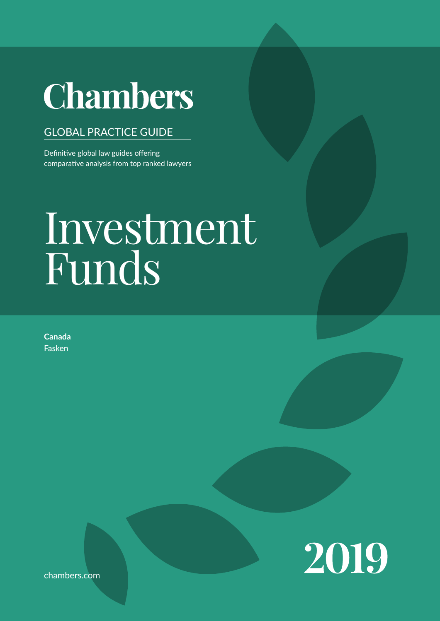# **Chambers**

# GLOBAL PRACTICE GUIDE

Definitive global law guides offering comparative analysis from top ranked lawyers

# $\overline{\phantom{a}}$ The 'Law & Practice' sections provide easily accessible information on Investment Funds

**Canada** Fasken



chambers.com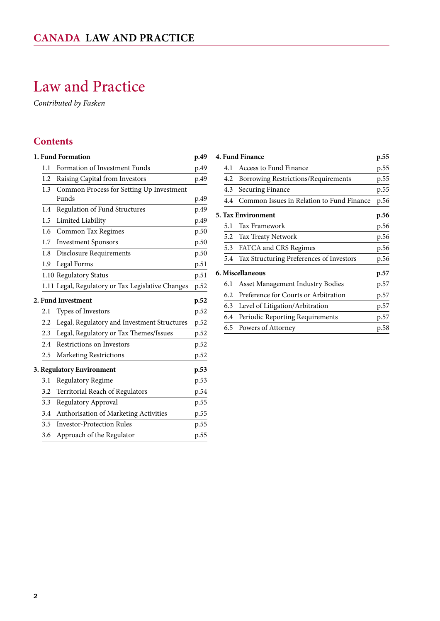# <span id="page-1-0"></span>Law and Practice

*Contributed by Fasken*

# **Contents**

| 1. Fund Formation<br>p.49 |                           |                                                   |      |  |  |
|---------------------------|---------------------------|---------------------------------------------------|------|--|--|
|                           | 1.1                       | Formation of Investment Funds                     | p.49 |  |  |
|                           | 1.2                       | Raising Capital from Investors                    | p.49 |  |  |
|                           | 1.3                       | Common Process for Setting Up Investment          |      |  |  |
|                           |                           | Funds                                             | p.49 |  |  |
|                           | 1.4                       | Regulation of Fund Structures                     | p.49 |  |  |
|                           | 1.5                       | Limited Liability                                 | p.49 |  |  |
|                           | 1.6                       | Common Tax Regimes                                | p.50 |  |  |
|                           | 1.7                       | <b>Investment Sponsors</b>                        | p.50 |  |  |
|                           | 1.8                       | <b>Disclosure Requirements</b>                    | p.50 |  |  |
|                           | 1.9                       | Legal Forms                                       | p.51 |  |  |
|                           |                           | 1.10 Regulatory Status                            | p.51 |  |  |
|                           |                           | 1.11 Legal, Regulatory or Tax Legislative Changes | p.52 |  |  |
|                           | <b>2. Fund Investment</b> |                                                   |      |  |  |
|                           | 2.1                       | Types of Investors                                | p.52 |  |  |
|                           | 2.2                       | Legal, Regulatory and Investment Structures       | p.52 |  |  |
|                           | 2.3                       | Legal, Regulatory or Tax Themes/Issues            | p.52 |  |  |
|                           | 2.4                       | Restrictions on Investors                         | p.52 |  |  |
|                           | 2.5                       | <b>Marketing Restrictions</b>                     | p.52 |  |  |
|                           | 3. Regulatory Environment |                                                   |      |  |  |
|                           | 3.1                       | Regulatory Regime                                 | p.53 |  |  |
|                           | 3.2                       | Territorial Reach of Regulators                   | p.54 |  |  |
|                           | 3.3                       | Regulatory Approval                               | p.55 |  |  |
|                           | 3.4                       | Authorisation of Marketing Activities             | p.55 |  |  |
|                           | 3.5                       | <b>Investor-Protection Rules</b>                  | p.55 |  |  |
|                           | 3.6                       | Approach of the Regulator                         | p.55 |  |  |
|                           |                           |                                                   |      |  |  |

| <b>4. Fund Finance</b><br>p.55 |     |                                              |      |
|--------------------------------|-----|----------------------------------------------|------|
|                                | 4.1 | Access to Fund Finance                       | p.55 |
|                                | 4.2 | Borrowing Restrictions/Requirements          | p.55 |
|                                | 4.3 | <b>Securing Finance</b>                      | p.55 |
|                                | 4.4 | Common Issues in Relation to Fund Finance    | p.56 |
|                                |     | <b>5. Tax Environment</b>                    | p.56 |
|                                | 5.1 | Tax Framework                                | p.56 |
|                                | 5.2 | Tax Treaty Network                           | p.56 |
|                                |     | 5.3 FATCA and CRS Regimes                    | p.56 |
|                                |     | 5.4 Tax Structuring Preferences of Investors | p.56 |
|                                |     | <b>6. Miscellaneous</b>                      | p.57 |
|                                | 6.1 | <b>Asset Management Industry Bodies</b>      | p.57 |
|                                |     | 6.2 Preference for Courts or Arbitration     | p.57 |
|                                | 6.3 | Level of Litigation/Arbitration              | p.57 |
|                                |     | 6.4 Periodic Reporting Requirements          | p.57 |
|                                |     | 6.5 Powers of Attorney                       | p.58 |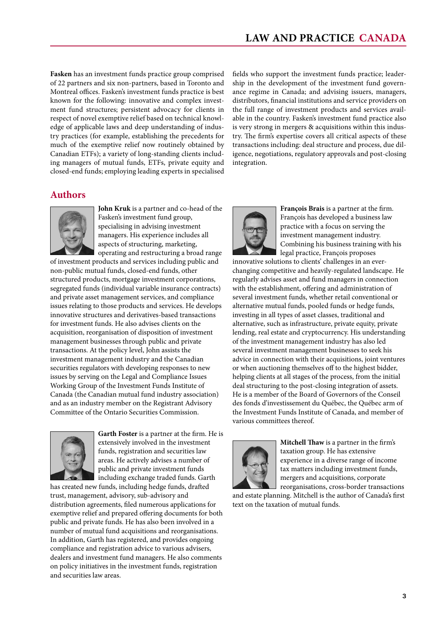**Fasken** has an investment funds practice group comprised of 22 partners and six non-partners, based in Toronto and Montreal offices. Fasken's investment funds practice is best known for the following: innovative and complex investment fund structures; persistent advocacy for clients in respect of novel exemptive relief based on technical knowledge of applicable laws and deep understanding of industry practices (for example, establishing the precedents for much of the exemptive relief now routinely obtained by Canadian ETFs); a variety of long-standing clients including managers of mutual funds, ETFs, private equity and closed-end funds; employing leading experts in specialised

fields who support the investment funds practice; leadership in the development of the investment fund governance regime in Canada; and advising issuers, managers, distributors, financial institutions and service providers on the full range of investment products and services available in the country. Fasken's investment fund practice also is very strong in mergers & acquisitions within this industry. The firm's expertise covers all critical aspects of these transactions including: deal structure and process, due diligence, negotiations, regulatory approvals and post-closing integration.

# **Authors**



**John Kruk** is a partner and co-head of the Fasken's investment fund group, specialising in advising investment managers. His experience includes all aspects of structuring, marketing, operating and restructuring a broad range

of investment products and services including public and non-public mutual funds, closed-end funds, other structured products, mortgage investment corporations, segregated funds (individual variable insurance contracts) and private asset management services, and compliance issues relating to those products and services. He develops innovative structures and derivatives-based transactions for investment funds. He also advises clients on the acquisition, reorganisation of disposition of investment management businesses through public and private transactions. At the policy level, John assists the investment management industry and the Canadian securities regulators with developing responses to new issues by serving on the Legal and Compliance Issues Working Group of the Investment Funds Institute of Canada (the Canadian mutual fund industry association) and as an industry member on the Registrant Advisory Committee of the Ontario Securities Commission.



**Garth Foster** is a partner at the firm. He is extensively involved in the investment funds, registration and securities law areas. He actively advises a number of public and private investment funds including exchange traded funds. Garth

has created new funds, including hedge funds, drafted trust, management, advisory, sub-advisory and distribution agreements, filed numerous applications for exemptive relief and prepared offering documents for both public and private funds. He has also been involved in a number of mutual fund acquisitions and reorganisations. In addition, Garth has registered, and provides ongoing compliance and registration advice to various advisers, dealers and investment fund managers. He also comments on policy initiatives in the investment funds, registration and securities law areas.



**François Brais** is a partner at the firm. François has developed a business law practice with a focus on serving the investment management industry. Combining his business training with his legal practice, François proposes

innovative solutions to clients' challenges in an everchanging competitive and heavily-regulated landscape. He regularly advises asset and fund managers in connection with the establishment, offering and administration of several investment funds, whether retail conventional or alternative mutual funds, pooled funds or hedge funds, investing in all types of asset classes, traditional and alternative, such as infrastructure, private equity, private lending, real estate and cryptocurrency. His understanding of the investment management industry has also led several investment management businesses to seek his advice in connection with their acquisitions, joint ventures or when auctioning themselves off to the highest bidder, helping clients at all stages of the process, from the initial deal structuring to the post-closing integration of assets. He is a member of the Board of Governors of the Conseil des fonds d'investissement du Québec, the Québec arm of the Investment Funds Institute of Canada, and member of various committees thereof.



**Mitchell Thaw** is a partner in the firm's taxation group. He has extensive experience in a diverse range of income tax matters including investment funds, mergers and acquisitions, corporate reorganisations, cross-border transactions

and estate planning. Mitchell is the author of Canada's first text on the taxation of mutual funds.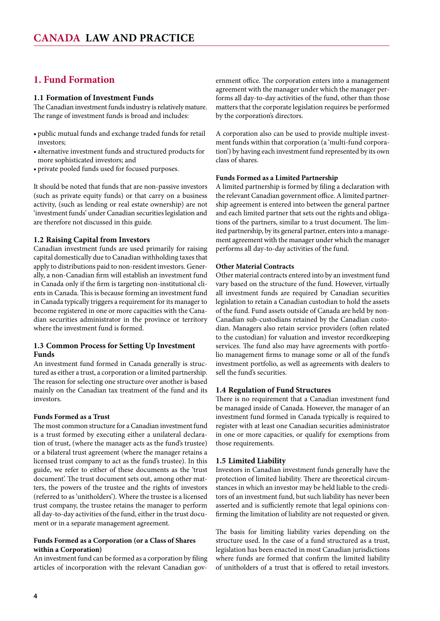# <span id="page-3-0"></span>**1. Fund Formation**

#### **1.1 Formation of Investment Funds**

The Canadian investment funds industry is relatively mature. The range of investment funds is broad and includes:

- • public mutual funds and exchange traded funds for retail investors;
- • alternative investment funds and structured products for more sophisticated investors; and
- • private pooled funds used for focused purposes.

It should be noted that funds that are non-passive investors (such as private equity funds) or that carry on a business activity, (such as lending or real estate ownership) are not 'investment funds' under Canadian securities legislation and are therefore not discussed in this guide.

#### **1.2 Raising Capital from Investors**

Canadian investment funds are used primarily for raising capital domestically due to Canadian withholding taxes that apply to distributions paid to non-resident investors. Generally, a non-Canadian firm will establish an investment fund in Canada only if the firm is targeting non-institutional clients in Canada. This is because forming an investment fund in Canada typically triggers a requirement for its manager to become registered in one or more capacities with the Canadian securities administrator in the province or territory where the investment fund is formed.

#### **1.3 Common Process for Setting Up Investment Funds**

An investment fund formed in Canada generally is structured as either a trust, a corporation or a limited partnership. The reason for selecting one structure over another is based mainly on the Canadian tax treatment of the fund and its investors.

#### **Funds Formed as a Trust**

The most common structure for a Canadian investment fund is a trust formed by executing either a unilateral declaration of trust, (where the manager acts as the fund's trustee) or a bilateral trust agreement (where the manager retains a licensed trust company to act as the fund's trustee). In this guide, we refer to either of these documents as the 'trust document'. The trust document sets out, among other matters, the powers of the trustee and the rights of investors (referred to as 'unitholders'). Where the trustee is a licensed trust company, the trustee retains the manager to perform all day-to-day activities of the fund, either in the trust document or in a separate management agreement.

#### **Funds Formed as a Corporation (or a Class of Shares within a Corporation)**

An investment fund can be formed as a corporation by filing articles of incorporation with the relevant Canadian government office. The corporation enters into a management agreement with the manager under which the manager performs all day-to-day activities of the fund, other than those matters that the corporate legislation requires be performed by the corporation's directors.

A corporation also can be used to provide multiple investment funds within that corporation (a 'multi-fund corporation') by having each investment fund represented by its own class of shares.

#### **Funds Formed as a Limited Partnership**

A limited partnership is formed by filing a declaration with the relevant Canadian government office. A limited partnership agreement is entered into between the general partner and each limited partner that sets out the rights and obligations of the partners, similar to a trust document. The limited partnership, by its general partner, enters into a management agreement with the manager under which the manager performs all day-to-day activities of the fund.

#### **Other Material Contracts**

Other material contracts entered into by an investment fund vary based on the structure of the fund. However, virtually all investment funds are required by Canadian securities legislation to retain a Canadian custodian to hold the assets of the fund. Fund assets outside of Canada are held by non-Canadian sub-custodians retained by the Canadian custodian. Managers also retain service providers (often related to the custodian) for valuation and investor recordkeeping services. The fund also may have agreements with portfolio management firms to manage some or all of the fund's investment portfolio, as well as agreements with dealers to sell the fund's securities.

#### **1.4 Regulation of Fund Structures**

There is no requirement that a Canadian investment fund be managed inside of Canada. However, the manager of an investment fund formed in Canada typically is required to register with at least one Canadian securities administrator in one or more capacities, or qualify for exemptions from those requirements.

#### **1.5 Limited Liability**

Investors in Canadian investment funds generally have the protection of limited liability. There are theoretical circumstances in which an investor may be held liable to the creditors of an investment fund, but such liability has never been asserted and is sufficiently remote that legal opinions confirming the limitation of liability are not requested or given.

The basis for limiting liability varies depending on the structure used. In the case of a fund structured as a trust, legislation has been enacted in most Canadian jurisdictions where funds are formed that confirm the limited liability of unitholders of a trust that is offered to retail investors.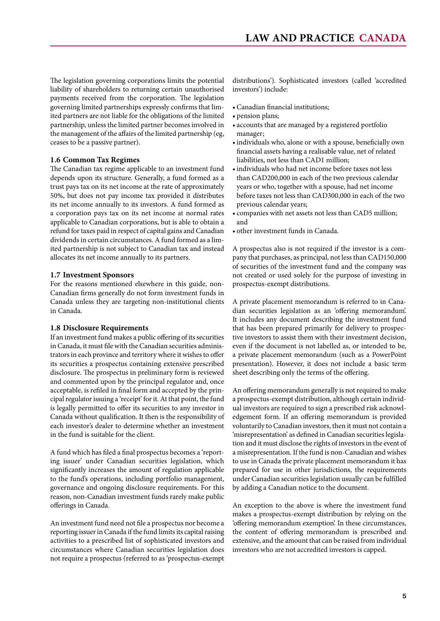<span id="page-4-0"></span>The legislation governing corporations limits the potential liability of shareholders to returning certain unauthorised payments received from the corporation. The legislation governing limited partnerships expressly confirms that limited partners are not liable for the obligations of the limited partnership, unless the limited partner becomes involved in the management of the affairs of the limited partnership (eg, ceases to be a passive partner).

#### **1.6 Common Tax Regimes**

The Canadian tax regime applicable to an investment fund depends upon its structure. Generally, a fund formed as a trust pays tax on its net income at the rate of approximately 50%, but does not pay income tax provided it distributes its net income annually to its investors. A fund formed as a corporation pays tax on its net income at normal rates applicable to Canadian corporations, but is able to obtain a refund for taxes paid in respect of capital gains and Canadian dividends in certain circumstances. A fund formed as a limited partnership is not subject to Canadian tax and instead allocates its net income annually to its partners.

#### **1.7 Investment Sponsors**

For the reasons mentioned elsewhere in this guide, non-Canadian firms generally do not form investment funds in Canada unless they are targeting non-institutional clients in Canada.

#### **1.8 Disclosure Requirements**

If an investment fund makes a public offering of its securities in Canada, it must file with the Canadian securities administrators in each province and territory where it wishes to offer its securities a prospectus containing extensive prescribed disclosure. The prospectus in preliminary form is reviewed and commented upon by the principal regulator and, once acceptable, is refiled in final form and accepted by the principal regulator issuing a 'receipt' for it. At that point, the fund is legally permitted to offer its securities to any investor in Canada without qualification. It then is the responsibility of each investor's dealer to determine whether an investment in the fund is suitable for the client.

A fund which has filed a final prospectus becomes a 'reporting issuer' under Canadian securities legislation, which significantly increases the amount of regulation applicable to the fund's operations, including portfolio management, governance and ongoing disclosure requirements. For this reason, non-Canadian investment funds rarely make public offerings in Canada.

An investment fund need not file a prospectus nor become a reporting issuer in Canada if the fund limits its capital raising activities to a prescribed list of sophisticated investors and circumstances where Canadian securities legislation does not require a prospectus (referred to as 'prospectus-exempt distributions'). Sophisticated investors (called 'accredited investors') include:

- • Canadian financial institutions;
- pension plans;
- • accounts that are managed by a registered portfolio manager;
- individuals who, alone or with a spouse, beneficially own financial assets having a realisable value, net of related liabilities, not less than CAD1 million;
- individuals who had net income before taxes not less than CAD200,000 in each of the two previous calendar years or who, together with a spouse, had net income before taxes not less than CAD300,000 in each of the two previous calendar years;
- • companies with net assets not less than CAD5 million; and
- other investment funds in Canada.

A prospectus also is not required if the investor is a company that purchases, as principal, not less than CAD150,000 of securities of the investment fund and the company was not created or used solely for the purpose of investing in prospectus-exempt distributions.

A private placement memorandum is referred to in Canadian securities legislation as an 'offering memorandum'. It includes any document describing the investment fund that has been prepared primarily for delivery to prospective investors to assist them with their investment decision, even if the document is not labelled as, or intended to be, a private placement memorandum (such as a PowerPoint presentation). However, it does not include a basic term sheet describing only the terms of the offering.

An offering memorandum generally is not required to make a prospectus-exempt distribution, although certain individual investors are required to sign a prescribed risk acknowledgement form. If an offering memorandum is provided voluntarily to Canadian investors, then it must not contain a 'misrepresentation' as defined in Canadian securities legislation and it must disclose the rights of investors in the event of a misrepresentation. If the fund is non-Canadian and wishes to use in Canada the private placement memorandum it has prepared for use in other jurisdictions, the requirements under Canadian securities legislation usually can be fulfilled by adding a Canadian notice to the document.

An exception to the above is where the investment fund makes a prospectus-exempt distribution by relying on the 'offering memorandum exemption'. In these circumstances, the content of offering memorandum is prescribed and extensive, and the amount that can be raised from individual investors who are not accredited investors is capped.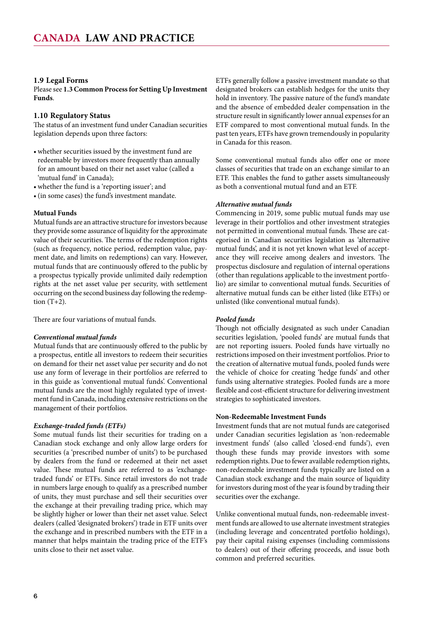#### <span id="page-5-0"></span>**1.9 Legal Forms**

Please see **1.3 Common Process for Setting Up Investment Funds**.

#### **1.10 Regulatory Status**

The status of an investment fund under Canadian securities legislation depends upon three factors:

- • whether securities issued by the investment fund are redeemable by investors more frequently than annually for an amount based on their net asset value (called a 'mutual fund' in Canada);
- • whether the fund is a 'reporting issuer'; and
- • (in some cases) the fund's investment mandate.

#### **Mutual Funds**

Mutual funds are an attractive structure for investors because they provide some assurance of liquidity for the approximate value of their securities. The terms of the redemption rights (such as frequency, notice period, redemption value, payment date, and limits on redemptions) can vary. However, mutual funds that are continuously offered to the public by a prospectus typically provide unlimited daily redemption rights at the net asset value per security, with settlement occurring on the second business day following the redemption  $(T+2)$ .

There are four variations of mutual funds.

#### *Conventional mutual funds*

Mutual funds that are continuously offered to the public by a prospectus, entitle all investors to redeem their securities on demand for their net asset value per security and do not use any form of leverage in their portfolios are referred to in this guide as 'conventional mutual funds'. Conventional mutual funds are the most highly regulated type of investment fund in Canada, including extensive restrictions on the management of their portfolios.

#### *Exchange-traded funds (ETFs)*

Some mutual funds list their securities for trading on a Canadian stock exchange and only allow large orders for securities (a 'prescribed number of units') to be purchased by dealers from the fund or redeemed at their net asset value. These mutual funds are referred to as 'exchangetraded funds' or ETFs. Since retail investors do not trade in numbers large enough to qualify as a prescribed number of units, they must purchase and sell their securities over the exchange at their prevailing trading price, which may be slightly higher or lower than their net asset value. Select dealers (called 'designated brokers') trade in ETF units over the exchange and in prescribed numbers with the ETF in a manner that helps maintain the trading price of the ETF's units close to their net asset value.

ETFs generally follow a passive investment mandate so that designated brokers can establish hedges for the units they hold in inventory. The passive nature of the fund's mandate and the absence of embedded dealer compensation in the structure result in significantly lower annual expenses for an ETF compared to most conventional mutual funds. In the past ten years, ETFs have grown tremendously in popularity in Canada for this reason.

Some conventional mutual funds also offer one or more classes of securities that trade on an exchange similar to an ETF. This enables the fund to gather assets simultaneously as both a conventional mutual fund and an ETF.

#### *Alternative mutual funds*

Commencing in 2019, some public mutual funds may use leverage in their portfolios and other investment strategies not permitted in conventional mutual funds. These are categorised in Canadian securities legislation as 'alternative mutual funds', and it is not yet known what level of acceptance they will receive among dealers and investors. The prospectus disclosure and regulation of internal operations (other than regulations applicable to the investment portfolio) are similar to conventional mutual funds. Securities of alternative mutual funds can be either listed (like ETFs) or unlisted (like conventional mutual funds).

#### *Pooled funds*

Though not officially designated as such under Canadian securities legislation, 'pooled funds' are mutual funds that are not reporting issuers. Pooled funds have virtually no restrictions imposed on their investment portfolios. Prior to the creation of alternative mutual funds, pooled funds were the vehicle of choice for creating 'hedge funds' and other funds using alternative strategies. Pooled funds are a more flexible and cost-efficient structure for delivering investment strategies to sophisticated investors.

#### **Non-Redeemable Investment Funds**

Investment funds that are not mutual funds are categorised under Canadian securities legislation as 'non-redeemable investment funds' (also called 'closed-end funds'), even though these funds may provide investors with some redemption rights. Due to fewer available redemption rights, non-redeemable investment funds typically are listed on a Canadian stock exchange and the main source of liquidity for investors during most of the year is found by trading their securities over the exchange.

Unlike conventional mutual funds, non-redeemable investment funds are allowed to use alternate investment strategies (including leverage and concentrated portfolio holdings), pay their capital raising expenses (including commissions to dealers) out of their offering proceeds, and issue both common and preferred securities.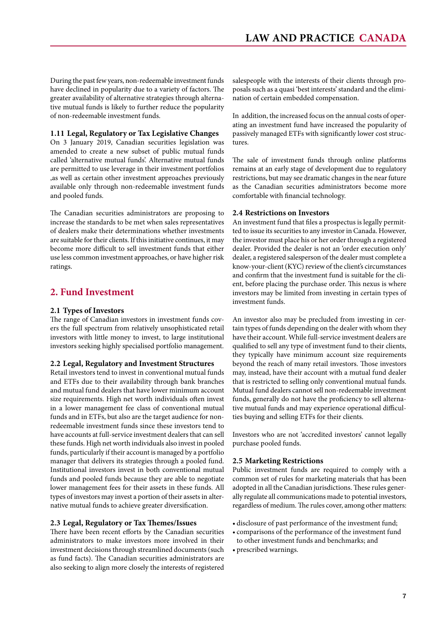<span id="page-6-0"></span>During the past few years, non-redeemable investment funds have declined in popularity due to a variety of factors. The greater availability of alternative strategies through alternative mutual funds is likely to further reduce the popularity of non-redeemable investment funds.

#### **1.11 Legal, Regulatory or Tax Legislative Changes**

On 3 January 2019, Canadian securities legislation was amended to create a new subset of public mutual funds called 'alternative mutual funds'. Alternative mutual funds are permitted to use leverage in their investment portfolios ,as well as certain other investment approaches previously available only through non-redeemable investment funds and pooled funds.

The Canadian securities administrators are proposing to increase the standards to be met when sales representatives of dealers make their determinations whether investments are suitable for their clients. If this initiative continues, it may become more difficult to sell investment funds that either use less common investment approaches, or have higher risk ratings.

## **2. Fund Investment**

#### **2.1 Types of Investors**

The range of Canadian investors in investment funds covers the full spectrum from relatively unsophisticated retail investors with little money to invest, to large institutional investors seeking highly specialised portfolio management.

#### **2.2 Legal, Regulatory and Investment Structures**

Retail investors tend to invest in conventional mutual funds and ETFs due to their availability through bank branches and mutual fund dealers that have lower minimum account size requirements. High net worth individuals often invest in a lower management fee class of conventional mutual funds and in ETFs, but also are the target audience for nonredeemable investment funds since these investors tend to have accounts at full-service investment dealers that can sell these funds. High net worth individuals also invest in pooled funds, particularly if their account is managed by a portfolio manager that delivers its strategies through a pooled fund. Institutional investors invest in both conventional mutual funds and pooled funds because they are able to negotiate lower management fees for their assets in these funds. All types of investors may invest a portion of their assets in alternative mutual funds to achieve greater diversification.

#### **2.3 Legal, Regulatory or Tax Themes/Issues**

There have been recent efforts by the Canadian securities administrators to make investors more involved in their investment decisions through streamlined documents (such as fund facts). The Canadian securities administrators are also seeking to align more closely the interests of registered salespeople with the interests of their clients through proposals such as a quasi 'best interests' standard and the elimination of certain embedded compensation.

In addition, the increased focus on the annual costs of operating an investment fund have increased the popularity of passively managed ETFs with significantly lower cost structures.

The sale of investment funds through online platforms remains at an early stage of development due to regulatory restrictions, but may see dramatic changes in the near future as the Canadian securities administrators become more comfortable with financial technology.

#### **2.4 Restrictions on Investors**

An investment fund that files a prospectus is legally permitted to issue its securities to any investor in Canada. However, the investor must place his or her order through a registered dealer. Provided the dealer is not an 'order execution only' dealer, a registered salesperson of the dealer must complete a know-your-client (KYC) review of the client's circumstances and confirm that the investment fund is suitable for the client, before placing the purchase order. This nexus is where investors may be limited from investing in certain types of investment funds.

An investor also may be precluded from investing in certain types of funds depending on the dealer with whom they have their account. While full-service investment dealers are qualified to sell any type of investment fund to their clients, they typically have minimum account size requirements beyond the reach of many retail investors. Those investors may, instead, have their account with a mutual fund dealer that is restricted to selling only conventional mutual funds. Mutual fund dealers cannot sell non-redeemable investment funds, generally do not have the proficiency to sell alternative mutual funds and may experience operational difficulties buying and selling ETFs for their clients.

Investors who are not 'accredited investors' cannot legally purchase pooled funds.

#### **2.5 Marketing Restrictions**

Public investment funds are required to comply with a common set of rules for marketing materials that has been adopted in all the Canadian jurisdictions. These rules generally regulate all communications made to potential investors, regardless of medium. The rules cover, among other matters:

- • disclosure of past performance of the investment fund;
- • comparisons of the performance of the investment fund to other investment funds and benchmarks; and
- • prescribed warnings.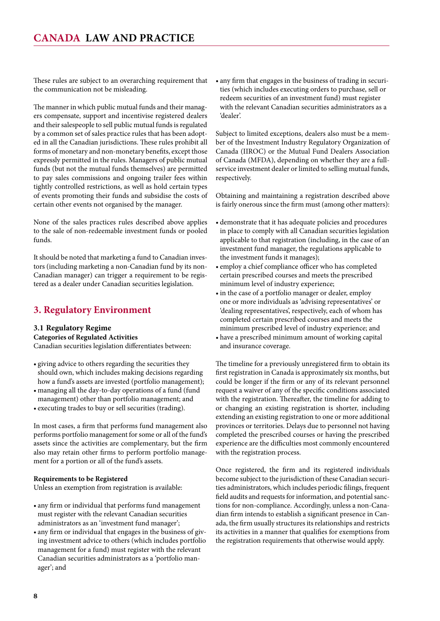<span id="page-7-0"></span>These rules are subject to an overarching requirement that the communication not be misleading.

The manner in which public mutual funds and their managers compensate, support and incentivise registered dealers and their salespeople to sell public mutual funds is regulated by a common set of sales practice rules that has been adopted in all the Canadian jurisdictions. These rules prohibit all forms of monetary and non-monetary benefits, except those expressly permitted in the rules. Managers of public mutual funds (but not the mutual funds themselves) are permitted to pay sales commissions and ongoing trailer fees within tightly controlled restrictions, as well as hold certain types of events promoting their funds and subsidise the costs of certain other events not organised by the manager.

None of the sales practices rules described above applies to the sale of non-redeemable investment funds or pooled funds.

It should be noted that marketing a fund to Canadian investors (including marketing a non-Canadian fund by its non-Canadian manager) can trigger a requirement to be registered as a dealer under Canadian securities legislation.

# **3. Regulatory Environment**

#### **3.1 Regulatory Regime Categories of Regulated Activities**

Canadian securities legislation differentiates between:

- giving advice to others regarding the securities they should own, which includes making decisions regarding how a fund's assets are invested (portfolio management);
- managing all the day-to-day operations of a fund (fund management) other than portfolio management; and
- executing trades to buy or sell securities (trading).

In most cases, a firm that performs fund management also performs portfolio management for some or all of the fund's assets since the activities are complementary, but the firm also may retain other firms to perform portfolio management for a portion or all of the fund's assets.

#### **Requirements to be Registered**

Unless an exemption from registration is available:

- any firm or individual that performs fund management must register with the relevant Canadian securities administrators as an 'investment fund manager';
- any firm or individual that engages in the business of giving investment advice to others (which includes portfolio management for a fund) must register with the relevant Canadian securities administrators as a 'portfolio manager'; and

• any firm that engages in the business of trading in securities (which includes executing orders to purchase, sell or redeem securities of an investment fund) must register with the relevant Canadian securities administrators as a 'dealer'.

Subject to limited exceptions, dealers also must be a member of the Investment Industry Regulatory Organization of Canada (IIROC) or the Mutual Fund Dealers Association of Canada (MFDA), depending on whether they are a fullservice investment dealer or limited to selling mutual funds, respectively.

Obtaining and maintaining a registration described above is fairly onerous since the firm must (among other matters):

- • demonstrate that it has adequate policies and procedures in place to comply with all Canadian securities legislation applicable to that registration (including, in the case of an investment fund manager, the regulations applicable to the investment funds it manages);
- • employ a chief compliance officer who has completed certain prescribed courses and meets the prescribed minimum level of industry experience;
- in the case of a portfolio manager or dealer, employ one or more individuals as 'advising representatives' or 'dealing representatives', respectively, each of whom has completed certain prescribed courses and meets the minimum prescribed level of industry experience; and • have a prescribed minimum amount of working capital
- and insurance coverage.

The timeline for a previously unregistered firm to obtain its first registration in Canada is approximately six months, but could be longer if the firm or any of its relevant personnel request a waiver of any of the specific conditions associated with the registration. Thereafter, the timeline for adding to or changing an existing registration is shorter, including extending an existing registration to one or more additional provinces or territories. Delays due to personnel not having completed the prescribed courses or having the prescribed experience are the difficulties most commonly encountered with the registration process.

Once registered, the firm and its registered individuals become subject to the jurisdiction of these Canadian securities administrators, which includes periodic filings, frequent field audits and requests for information, and potential sanctions for non-compliance. Accordingly, unless a non-Canadian firm intends to establish a significant presence in Canada, the firm usually structures its relationships and restricts its activities in a manner that qualifies for exemptions from the registration requirements that otherwise would apply.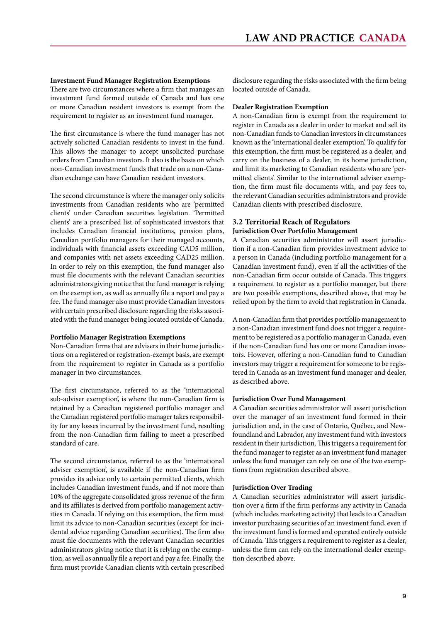#### <span id="page-8-0"></span>**Investment Fund Manager Registration Exemptions**

There are two circumstances where a firm that manages an investment fund formed outside of Canada and has one or more Canadian resident investors is exempt from the requirement to register as an investment fund manager.

The first circumstance is where the fund manager has not actively solicited Canadian residents to invest in the fund. This allows the manager to accept unsolicited purchase orders from Canadian investors. It also is the basis on which non-Canadian investment funds that trade on a non-Canadian exchange can have Canadian resident investors.

The second circumstance is where the manager only solicits investments from Canadian residents who are 'permitted clients' under Canadian securities legislation. 'Permitted clients' are a prescribed list of sophisticated investors that includes Canadian financial institutions, pension plans, Canadian portfolio managers for their managed accounts, individuals with financial assets exceeding CAD5 million, and companies with net assets exceeding CAD25 million. In order to rely on this exemption, the fund manager also must file documents with the relevant Canadian securities administrators giving notice that the fund manager is relying on the exemption, as well as annually file a report and pay a fee. The fund manager also must provide Canadian investors with certain prescribed disclosure regarding the risks associated with the fund manager being located outside of Canada.

#### **Portfolio Manager Registration Exemptions**

Non-Canadian firms that are advisers in their home jurisdictions on a registered or registration-exempt basis, are exempt from the requirement to register in Canada as a portfolio manager in two circumstances.

The first circumstance, referred to as the 'international sub-adviser exemption', is where the non-Canadian firm is retained by a Canadian registered portfolio manager and the Canadian registered portfolio manager takes responsibility for any losses incurred by the investment fund, resulting from the non-Canadian firm failing to meet a prescribed standard of care.

The second circumstance, referred to as the 'international adviser exemption', is available if the non-Canadian firm provides its advice only to certain permitted clients, which includes Canadian investment funds, and if not more than 10% of the aggregate consolidated gross revenue of the firm and its affiliates is derived from portfolio management activities in Canada. If relying on this exemption, the firm must limit its advice to non-Canadian securities (except for incidental advice regarding Canadian securities). The firm also must file documents with the relevant Canadian securities administrators giving notice that it is relying on the exemption, as well as annually file a report and pay a fee. Finally, the firm must provide Canadian clients with certain prescribed

disclosure regarding the risks associated with the firm being located outside of Canada.

#### **Dealer Registration Exemption**

A non-Canadian firm is exempt from the requirement to register in Canada as a dealer in order to market and sell its non-Canadian funds to Canadian investors in circumstances known as the 'international dealer exemption'. To qualify for this exemption, the firm must be registered as a dealer, and carry on the business of a dealer, in its home jurisdiction, and limit its marketing to Canadian residents who are 'permitted clients'. Similar to the international adviser exemption, the firm must file documents with, and pay fees to, the relevant Canadian securities administrators and provide Canadian clients with prescribed disclosure.

#### **3.2 Territorial Reach of Regulators Jurisdiction Over Portfolio Management**

A Canadian securities administrator will assert jurisdiction if a non-Canadian firm provides investment advice to a person in Canada (including portfolio management for a Canadian investment fund), even if all the activities of the non-Canadian firm occur outside of Canada. This triggers a requirement to register as a portfolio manager, but there are two possible exemptions, described above, that may be relied upon by the firm to avoid that registration in Canada.

A non-Canadian firm that provides portfolio management to a non-Canadian investment fund does not trigger a requirement to be registered as a portfolio manager in Canada, even if the non-Canadian fund has one or more Canadian investors. However, offering a non-Canadian fund to Canadian investors may trigger a requirement for someone to be registered in Canada as an investment fund manager and dealer, as described above.

#### **Jurisdiction Over Fund Management**

A Canadian securities administrator will assert jurisdiction over the manager of an investment fund formed in their jurisdiction and, in the case of Ontario, Québec, and Newfoundland and Labrador, any investment fund with investors resident in their jurisdiction. This triggers a requirement for the fund manager to register as an investment fund manager unless the fund manager can rely on one of the two exemptions from registration described above.

#### **Jurisdiction Over Trading**

A Canadian securities administrator will assert jurisdiction over a firm if the firm performs any activity in Canada (which includes marketing activity) that leads to a Canadian investor purchasing securities of an investment fund, even if the investment fund is formed and operated entirely outside of Canada. This triggers a requirement to register as a dealer, unless the firm can rely on the international dealer exemption described above.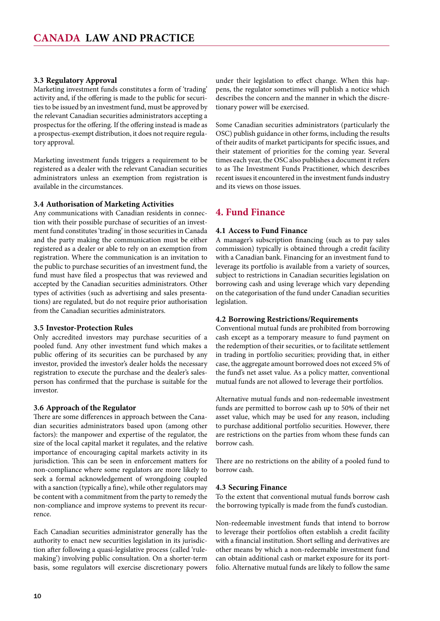#### <span id="page-9-0"></span>**3.3 Regulatory Approval**

Marketing investment funds constitutes a form of 'trading' activity and, if the offering is made to the public for securities to be issued by an investment fund, must be approved by the relevant Canadian securities administrators accepting a prospectus for the offering. If the offering instead is made as a prospectus-exempt distribution, it does not require regulatory approval.

Marketing investment funds triggers a requirement to be registered as a dealer with the relevant Canadian securities administrators unless an exemption from registration is available in the circumstances.

#### **3.4 Authorisation of Marketing Activities**

Any communications with Canadian residents in connection with their possible purchase of securities of an investment fund constitutes 'trading' in those securities in Canada and the party making the communication must be either registered as a dealer or able to rely on an exemption from registration. Where the communication is an invitation to the public to purchase securities of an investment fund, the fund must have filed a prospectus that was reviewed and accepted by the Canadian securities administrators. Other types of activities (such as advertising and sales presentations) are regulated, but do not require prior authorisation from the Canadian securities administrators.

#### **3.5 Investor-Protection Rules**

Only accredited investors may purchase securities of a pooled fund. Any other investment fund which makes a public offering of its securities can be purchased by any investor, provided the investor's dealer holds the necessary registration to execute the purchase and the dealer's salesperson has confirmed that the purchase is suitable for the investor.

#### **3.6 Approach of the Regulator**

There are some differences in approach between the Canadian securities administrators based upon (among other factors): the manpower and expertise of the regulator, the size of the local capital market it regulates, and the relative importance of encouraging capital markets activity in its jurisdiction. This can be seen in enforcement matters for non-compliance where some regulators are more likely to seek a formal acknowledgement of wrongdoing coupled with a sanction (typically a fine), while other regulators may be content with a commitment from the party to remedy the non-compliance and improve systems to prevent its recurrence.

Each Canadian securities administrator generally has the authority to enact new securities legislation in its jurisdiction after following a quasi-legislative process (called 'rulemaking') involving public consultation. On a shorter-term basis, some regulators will exercise discretionary powers under their legislation to effect change. When this happens, the regulator sometimes will publish a notice which describes the concern and the manner in which the discretionary power will be exercised.

Some Canadian securities administrators (particularly the OSC) publish guidance in other forms, including the results of their audits of market participants for specific issues, and their statement of priorities for the coming year. Several times each year, the OSC also publishes a document it refers to as The Investment Funds Practitioner, which describes recent issues it encountered in the investment funds industry and its views on those issues.

### **4. Fund Finance**

#### **4.1 Access to Fund Finance**

A manager's subscription financing (such as to pay sales commission) typically is obtained through a credit facility with a Canadian bank. Financing for an investment fund to leverage its portfolio is available from a variety of sources, subject to restrictions in Canadian securities legislation on borrowing cash and using leverage which vary depending on the categorisation of the fund under Canadian securities legislation.

#### **4.2 Borrowing Restrictions/Requirements**

Conventional mutual funds are prohibited from borrowing cash except as a temporary measure to fund payment on the redemption of their securities, or to facilitate settlement in trading in portfolio securities; providing that, in either case, the aggregate amount borrowed does not exceed 5% of the fund's net asset value. As a policy matter, conventional mutual funds are not allowed to leverage their portfolios.

Alternative mutual funds and non-redeemable investment funds are permitted to borrow cash up to 50% of their net asset value, which may be used for any reason, including to purchase additional portfolio securities. However, there are restrictions on the parties from whom these funds can borrow cash.

There are no restrictions on the ability of a pooled fund to borrow cash.

#### **4.3 Securing Finance**

To the extent that conventional mutual funds borrow cash the borrowing typically is made from the fund's custodian.

Non-redeemable investment funds that intend to borrow to leverage their portfolios often establish a credit facility with a financial institution. Short selling and derivatives are other means by which a non-redeemable investment fund can obtain additional cash or market exposure for its portfolio. Alternative mutual funds are likely to follow the same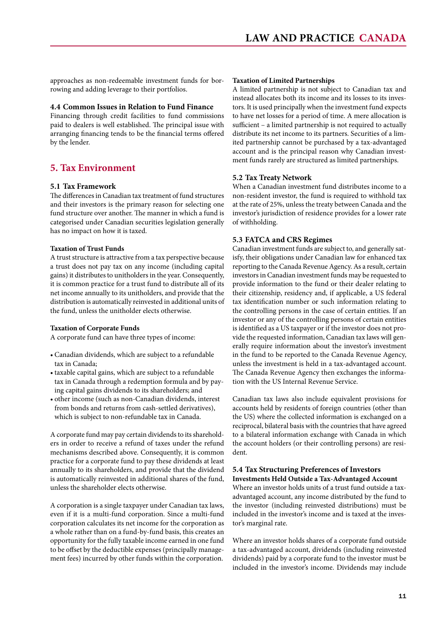<span id="page-10-0"></span>approaches as non-redeemable investment funds for borrowing and adding leverage to their portfolios.

#### **4.4 Common Issues in Relation to Fund Finance**

Financing through credit facilities to fund commissions paid to dealers is well established. The principal issue with arranging financing tends to be the financial terms offered by the lender.

# **5. Tax Environment**

#### **5.1 Tax Framework**

The differences in Canadian tax treatment of fund structures and their investors is the primary reason for selecting one fund structure over another. The manner in which a fund is categorised under Canadian securities legislation generally has no impact on how it is taxed.

#### **Taxation of Trust Funds**

A trust structure is attractive from a tax perspective because a trust does not pay tax on any income (including capital gains) it distributes to unitholders in the year. Consequently, it is common practice for a trust fund to distribute all of its net income annually to its unitholders, and provide that the distribution is automatically reinvested in additional units of the fund, unless the unitholder elects otherwise.

#### **Taxation of Corporate Funds**

A corporate fund can have three types of income:

- • Canadian dividends, which are subject to a refundable tax in Canada;
- • taxable capital gains, which are subject to a refundable tax in Canada through a redemption formula and by paying capital gains dividends to its shareholders; and
- other income (such as non-Canadian dividends, interest from bonds and returns from cash-settled derivatives), which is subject to non-refundable tax in Canada.

A corporate fund may pay certain dividends to its shareholders in order to receive a refund of taxes under the refund mechanisms described above. Consequently, it is common practice for a corporate fund to pay these dividends at least annually to its shareholders, and provide that the dividend is automatically reinvested in additional shares of the fund, unless the shareholder elects otherwise.

A corporation is a single taxpayer under Canadian tax laws, even if it is a multi-fund corporation. Since a multi-fund corporation calculates its net income for the corporation as a whole rather than on a fund-by-fund basis, this creates an opportunity for the fully taxable income earned in one fund to be offset by the deductible expenses (principally management fees) incurred by other funds within the corporation.

#### **Taxation of Limited Partnerships**

A limited partnership is not subject to Canadian tax and instead allocates both its income and its losses to its investors. It is used principally when the investment fund expects to have net losses for a period of time. A mere allocation is sufficient – a limited partnership is not required to actually distribute its net income to its partners. Securities of a limited partnership cannot be purchased by a tax-advantaged account and is the principal reason why Canadian investment funds rarely are structured as limited partnerships.

#### **5.2 Tax Treaty Network**

When a Canadian investment fund distributes income to a non-resident investor, the fund is required to withhold tax at the rate of 25%, unless the treaty between Canada and the investor's jurisdiction of residence provides for a lower rate of withholding.

#### **5.3 FATCA and CRS Regimes**

Canadian investment funds are subject to, and generally satisfy, their obligations under Canadian law for enhanced tax reporting to the Canada Revenue Agency. As a result, certain investors in Canadian investment funds may be requested to provide information to the fund or their dealer relating to their citizenship, residency and, if applicable, a US federal tax identification number or such information relating to the controlling persons in the case of certain entities. If an investor or any of the controlling persons of certain entities is identified as a US taxpayer or if the investor does not provide the requested information, Canadian tax laws will generally require information about the investor's investment in the fund to be reported to the Canada Revenue Agency, unless the investment is held in a tax-advantaged account. The Canada Revenue Agency then exchanges the information with the US Internal Revenue Service.

Canadian tax laws also include equivalent provisions for accounts held by residents of foreign countries (other than the US) where the collected information is exchanged on a reciprocal, bilateral basis with the countries that have agreed to a bilateral information exchange with Canada in which the account holders (or their controlling persons) are resident.

#### **5.4 Tax Structuring Preferences of Investors Investments Held Outside a Tax-Advantaged Account**

Where an investor holds units of a trust fund outside a taxadvantaged account, any income distributed by the fund to the investor (including reinvested distributions) must be included in the investor's income and is taxed at the investor's marginal rate.

Where an investor holds shares of a corporate fund outside a tax-advantaged account, dividends (including reinvested dividends) paid by a corporate fund to the investor must be included in the investor's income. Dividends may include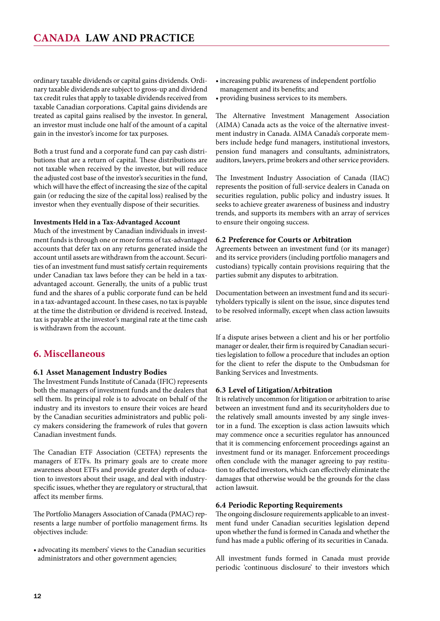<span id="page-11-0"></span>ordinary taxable dividends or capital gains dividends. Ordinary taxable dividends are subject to gross-up and dividend tax credit rules that apply to taxable dividends received from taxable Canadian corporations. Capital gains dividends are treated as capital gains realised by the investor. In general, an investor must include one half of the amount of a capital gain in the investor's income for tax purposes.

Both a trust fund and a corporate fund can pay cash distributions that are a return of capital. These distributions are not taxable when received by the investor, but will reduce the adjusted cost base of the investor's securities in the fund, which will have the effect of increasing the size of the capital gain (or reducing the size of the capital loss) realised by the investor when they eventually dispose of their securities.

#### **Investments Held in a Tax-Advantaged Account**

Much of the investment by Canadian individuals in investment funds is through one or more forms of tax-advantaged accounts that defer tax on any returns generated inside the account until assets are withdrawn from the account. Securities of an investment fund must satisfy certain requirements under Canadian tax laws before they can be held in a taxadvantaged account. Generally, the units of a public trust fund and the shares of a public corporate fund can be held in a tax-advantaged account. In these cases, no tax is payable at the time the distribution or dividend is received. Instead, tax is payable at the investor's marginal rate at the time cash is withdrawn from the account.

# **6. Miscellaneous**

#### **6.1 Asset Management Industry Bodies**

The Investment Funds Institute of Canada (IFIC) represents both the managers of investment funds and the dealers that sell them. Its principal role is to advocate on behalf of the industry and its investors to ensure their voices are heard by the Canadian securities administrators and public policy makers considering the framework of rules that govern Canadian investment funds.

The Canadian ETF Association (CETFA) represents the managers of ETFs. Its primary goals are to create more awareness about ETFs and provide greater depth of education to investors about their usage, and deal with industryspecific issues, whether they are regulatory or structural, that affect its member firms.

The Portfolio Managers Association of Canada (PMAC) represents a large number of portfolio management firms. Its objectives include:

• advocating its members' views to the Canadian securities administrators and other government agencies;

- increasing public awareness of independent portfolio management and its benefits; and
- providing business services to its members.

The Alternative Investment Management Association (AIMA) Canada acts as the voice of the alternative investment industry in Canada. AIMA Canada's corporate members include hedge fund managers, institutional investors, pension fund managers and consultants, administrators, auditors, lawyers, prime brokers and other service providers.

The Investment Industry Association of Canada (IIAC) represents the position of full-service dealers in Canada on securities regulation, public policy and industry issues. It seeks to achieve greater awareness of business and industry trends, and supports its members with an array of services to ensure their ongoing success.

#### **6.2 Preference for Courts or Arbitration**

Agreements between an investment fund (or its manager) and its service providers (including portfolio managers and custodians) typically contain provisions requiring that the parties submit any disputes to arbitration.

Documentation between an investment fund and its securityholders typically is silent on the issue, since disputes tend to be resolved informally, except when class action lawsuits arise.

If a dispute arises between a client and his or her portfolio manager or dealer, their firm is required by Canadian securities legislation to follow a procedure that includes an option for the client to refer the dispute to the Ombudsman for Banking Services and Investments.

#### **6.3 Level of Litigation/Arbitration**

It is relatively uncommon for litigation or arbitration to arise between an investment fund and its securityholders due to the relatively small amounts invested by any single investor in a fund. The exception is class action lawsuits which may commence once a securities regulator has announced that it is commencing enforcement proceedings against an investment fund or its manager. Enforcement proceedings often conclude with the manager agreeing to pay restitution to affected investors, which can effectively eliminate the damages that otherwise would be the grounds for the class action lawsuit.

#### **6.4 Periodic Reporting Requirements**

The ongoing disclosure requirements applicable to an investment fund under Canadian securities legislation depend upon whether the fund is formed in Canada and whether the fund has made a public offering of its securities in Canada.

All investment funds formed in Canada must provide periodic 'continuous disclosure' to their investors which